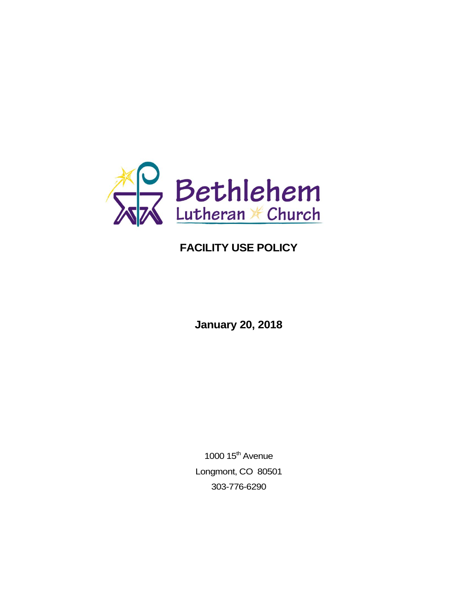

# **FACILITY USE POLICY**

**January 20, 2018**

1000  $15<sup>th</sup>$  Avenue Longmont, CO 80501 303-776-6290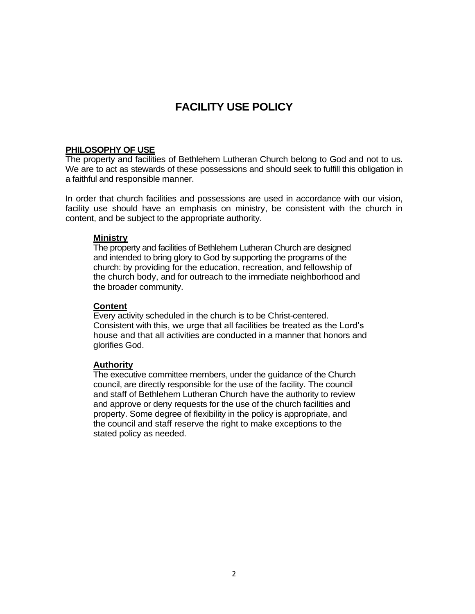# **FACILITY USE POLICY**

#### **PHILOSOPHY OF USE**

The property and facilities of Bethlehem Lutheran Church belong to God and not to us. We are to act as stewards of these possessions and should seek to fulfill this obligation in a faithful and responsible manner.

In order that church facilities and possessions are used in accordance with our vision, facility use should have an emphasis on ministry, be consistent with the church in content, and be subject to the appropriate authority.

#### **Ministry**

The property and facilities of Bethlehem Lutheran Church are designed and intended to bring glory to God by supporting the programs of the church: by providing for the education, recreation, and fellowship of the church body, and for outreach to the immediate neighborhood and the broader community.

#### **Content**

Every activity scheduled in the church is to be Christ-centered. Consistent with this, we urge that all facilities be treated as the Lord's house and that all activities are conducted in a manner that honors and glorifies God.

## **Authority**

The executive committee members, under the guidance of the Church council, are directly responsible for the use of the facility. The council and staff of Bethlehem Lutheran Church have the authority to review and approve or deny requests for the use of the church facilities and property. Some degree of flexibility in the policy is appropriate, and the council and staff reserve the right to make exceptions to the stated policy as needed.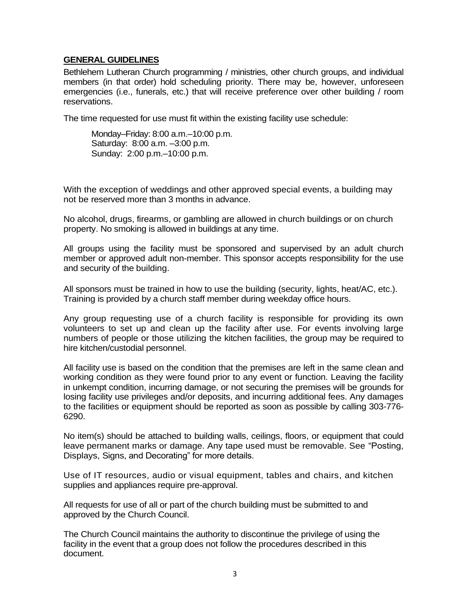## **GENERAL GUIDELINES**

Bethlehem Lutheran Church programming / ministries, other church groups, and individual members (in that order) hold scheduling priority. There may be, however, unforeseen emergencies (i.e., funerals, etc.) that will receive preference over other building / room reservations.

The time requested for use must fit within the existing facility use schedule:

Monday–Friday: 8:00 a.m.–10:00 p.m. Saturday: 8:00 a.m. –3:00 p.m. Sunday: 2:00 p.m.–10:00 p.m.

With the exception of weddings and other approved special events, a building may not be reserved more than 3 months in advance.

No alcohol, drugs, firearms, or gambling are allowed in church buildings or on church property. No smoking is allowed in buildings at any time.

All groups using the facility must be sponsored and supervised by an adult church member or approved adult non-member. This sponsor accepts responsibility for the use and security of the building.

All sponsors must be trained in how to use the building (security, lights, heat/AC, etc.). Training is provided by a church staff member during weekday office hours.

Any group requesting use of a church facility is responsible for providing its own volunteers to set up and clean up the facility after use. For events involving large numbers of people or those utilizing the kitchen facilities, the group may be required to hire kitchen/custodial personnel.

All facility use is based on the condition that the premises are left in the same clean and working condition as they were found prior to any event or function. Leaving the facility in unkempt condition, incurring damage, or not securing the premises will be grounds for losing facility use privileges and/or deposits, and incurring additional fees. Any damages to the facilities or equipment should be reported as soon as possible by calling 303-776- 6290.

No item(s) should be attached to building walls, ceilings, floors, or equipment that could leave permanent marks or damage. Any tape used must be removable. See "Posting, Displays, Signs, and Decorating" for more details.

Use of IT resources, audio or visual equipment, tables and chairs, and kitchen supplies and appliances require pre-approval.

All requests for use of all or part of the church building must be submitted to and approved by the Church Council.

The Church Council maintains the authority to discontinue the privilege of using the facility in the event that a group does not follow the procedures described in this document.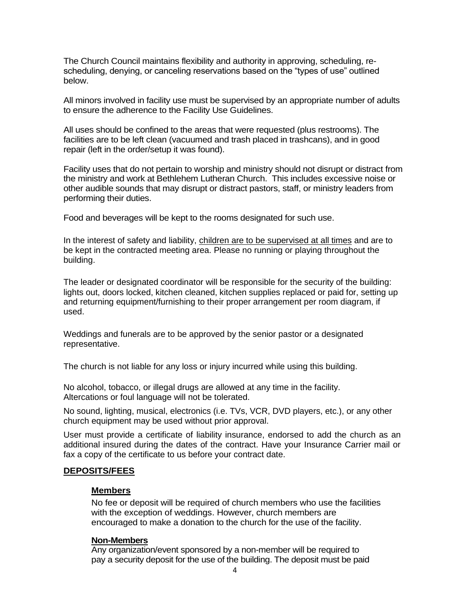The Church Council maintains flexibility and authority in approving, scheduling, rescheduling, denying, or canceling reservations based on the "types of use" outlined below.

All minors involved in facility use must be supervised by an appropriate number of adults to ensure the adherence to the Facility Use Guidelines.

All uses should be confined to the areas that were requested (plus restrooms). The facilities are to be left clean (vacuumed and trash placed in trashcans), and in good repair (left in the order/setup it was found).

Facility uses that do not pertain to worship and ministry should not disrupt or distract from the ministry and work at Bethlehem Lutheran Church. This includes excessive noise or other audible sounds that may disrupt or distract pastors, staff, or ministry leaders from performing their duties.

Food and beverages will be kept to the rooms designated for such use.

In the interest of safety and liability, children are to be supervised at all times and are to be kept in the contracted meeting area. Please no running or playing throughout the building.

The leader or designated coordinator will be responsible for the security of the building: lights out, doors locked, kitchen cleaned, kitchen supplies replaced or paid for, setting up and returning equipment/furnishing to their proper arrangement per room diagram, if used.

Weddings and funerals are to be approved by the senior pastor or a designated representative.

The church is not liable for any loss or injury incurred while using this building.

No alcohol, tobacco, or illegal drugs are allowed at any time in the facility. Altercations or foul language will not be tolerated.

No sound, lighting, musical, electronics (i.e. TVs, VCR, DVD players, etc.), or any other church equipment may be used without prior approval.

User must provide a certificate of liability insurance, endorsed to add the church as an additional insured during the dates of the contract. Have your Insurance Carrier mail or fax a copy of the certificate to us before your contract date.

#### **DEPOSITS/FEES**

#### **Members**

No fee or deposit will be required of church members who use the facilities with the exception of weddings. However, church members are encouraged to make a donation to the church for the use of the facility.

#### **Non-Members**

Any organization/event sponsored by a non-member will be required to pay a security deposit for the use of the building. The deposit must be paid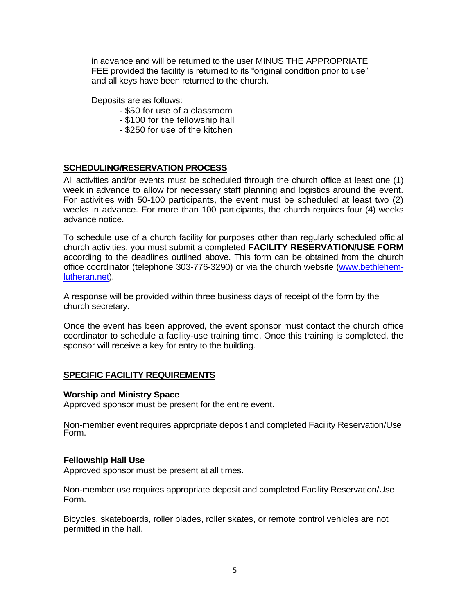in advance and will be returned to the user MINUS THE APPROPRIATE FEE provided the facility is returned to its "original condition prior to use" and all keys have been returned to the church.

Deposits are as follows:

- \$50 for use of a classroom
- \$100 for the fellowship hall
- \$250 for use of the kitchen

# **SCHEDULING/RESERVATION PROCESS**

All activities and/or events must be scheduled through the church office at least one (1) week in advance to allow for necessary staff planning and logistics around the event. For activities with 50-100 participants, the event must be scheduled at least two (2) weeks in advance. For more than 100 participants, the church requires four (4) weeks advance notice.

To schedule use of a church facility for purposes other than regularly scheduled official church activities, you must submit a completed **FACILITY RESERVATION/USE FORM** according to the deadlines outlined above. This form can be obtained from the church office coordinator (telephone 303-776-3290) or via the church website [\(www.bethlehem](www.bethlehem-lutheran.net)[lutheran.net\)](www.bethlehem-lutheran.net).

A response will be provided within three business days of receipt of the form by the church secretary.

Once the event has been approved, the event sponsor must contact the church office coordinator to schedule a facility-use training time. Once this training is completed, the sponsor will receive a key for entry to the building.

#### **SPECIFIC FACILITY REQUIREMENTS**

#### **Worship and Ministry Space**

Approved sponsor must be present for the entire event.

Non-member event requires appropriate deposit and completed Facility Reservation/Use Form.

#### **Fellowship Hall Use**

Approved sponsor must be present at all times.

Non-member use requires appropriate deposit and completed Facility Reservation/Use Form.

Bicycles, skateboards, roller blades, roller skates, or remote control vehicles are not permitted in the hall.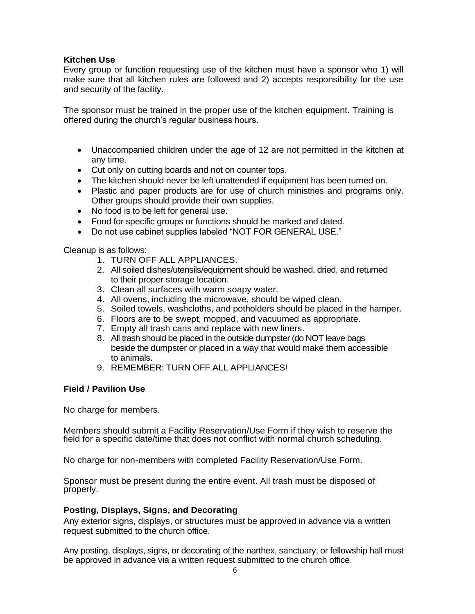# **Kitchen Use**

Every group or function requesting use of the kitchen must have a sponsor who 1) will make sure that all kitchen rules are followed and 2) accepts responsibility for the use and security of the facility.

The sponsor must be trained in the proper use of the kitchen equipment. Training is offered during the church's regular business hours.

- Unaccompanied children under the age of 12 are not permitted in the kitchen at any time.
- Cut only on cutting boards and not on counter tops.
- The kitchen should never be left unattended if equipment has been turned on.
- Plastic and paper products are for use of church ministries and programs only. Other groups should provide their own supplies.
- No food is to be left for general use.
- Food for specific groups or functions should be marked and dated.
- Do not use cabinet supplies labeled "NOT FOR GENERAL USE."

Cleanup is as follows:

- 1. TURN OFF ALL APPLIANCES.
- 2. All soiled dishes/utensils/equipment should be washed, dried, and returned to their proper storage location.
- 3. Clean all surfaces with warm soapy water.
- 4. All ovens, including the microwave, should be wiped clean.
- 5. Soiled towels, washcloths, and potholders should be placed in the hamper.
- 6. Floors are to be swept, mopped, and vacuumed as appropriate.
- 7. Empty all trash cans and replace with new liners.
- 8. All trash should be placed in the outside dumpster (do NOT leave bags beside the dumpster or placed in a way that would make them accessible to animals.
- 9. REMEMBER: TURN OFF ALL APPLIANCES!

# **Field / Pavilion Use**

No charge for members.

Members should submit a Facility Reservation/Use Form if they wish to reserve the field for a specific date/time that does not conflict with normal church scheduling.

No charge for non-members with completed Facility Reservation/Use Form.

Sponsor must be present during the entire event. All trash must be disposed of properly.

#### **Posting, Displays, Signs, and Decorating**

Any exterior signs, displays, or structures must be approved in advance via a written request submitted to the church office.

Any posting, displays, signs, or decorating of the narthex, sanctuary, or fellowship hall must be approved in advance via a written request submitted to the church office.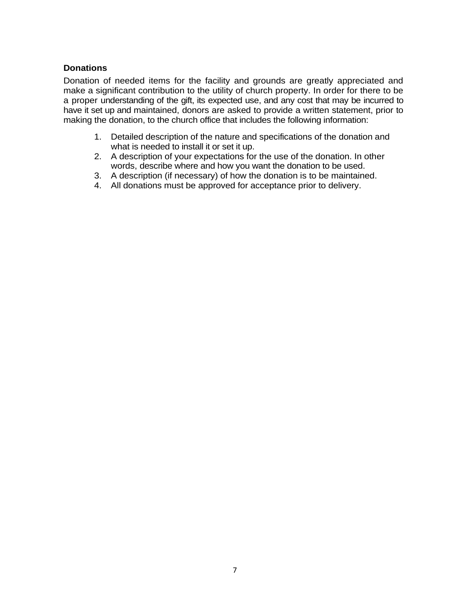## **Donations**

Donation of needed items for the facility and grounds are greatly appreciated and make a significant contribution to the utility of church property. In order for there to be a proper understanding of the gift, its expected use, and any cost that may be incurred to have it set up and maintained, donors are asked to provide a written statement, prior to making the donation, to the church office that includes the following information:

- 1. Detailed description of the nature and specifications of the donation and what is needed to install it or set it up.
- 2. A description of your expectations for the use of the donation. In other words, describe where and how you want the donation to be used.
- 3. A description (if necessary) of how the donation is to be maintained.
- 4. All donations must be approved for acceptance prior to delivery.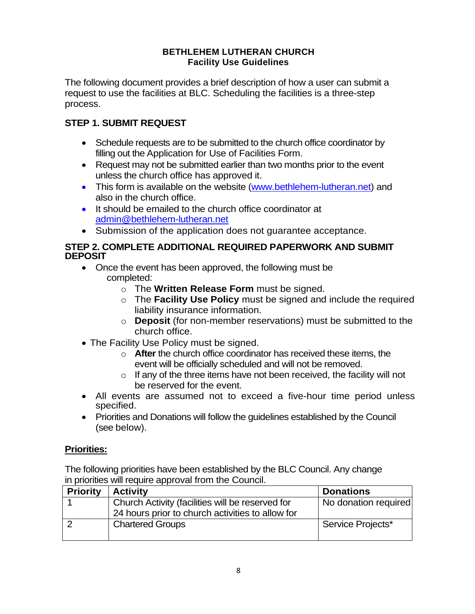# **BETHLEHEM LUTHERAN CHURCH Facility Use Guidelines**

The following document provides a brief description of how a user can submit a request to use the facilities at BLC. Scheduling the facilities is a three-step process.

# **STEP 1. SUBMIT REQUEST**

- Schedule requests are to be submitted to the church office coordinator by filling out the Application for Use of Facilities Form.
- Request may not be submitted earlier than two months prior to the event unless the church office has approved it.
- This form is available on the website [\(www.bethlehem-lutheran.net\)](http://www.bethlehem-lutheran.net/) and also in the church office.
- It should be emailed to the church office coordinator at admin@bethlehem-lutheran.net
- Submission of the application does not guarantee acceptance.

# **STEP 2. COMPLETE ADDITIONAL REQUIRED PAPERWORK AND SUBMIT DEPOSIT**

- Once the event has been approved, the following must be completed:
	- o The **Written Release Form** must be signed.
	- o The **Facility Use Policy** must be signed and include the required liability insurance information.
	- o **Deposit** (for non-member reservations) must be submitted to the church office.
- The Facility Use Policy must be signed.
	- o **After** the church office coordinator has received these items, the event will be officially scheduled and will not be removed.
	- $\circ$  If any of the three items have not been received, the facility will not be reserved for the event.
- All events are assumed not to exceed a five-hour time period unless specified.
- Priorities and Donations will follow the guidelines established by the Council (see below).

# **Priorities:**

The following priorities have been established by the BLC Council. Any change in priorities will require approval from the Council.

| <b>Priority</b> | <b>Activity</b>                                  | <b>Donations</b>     |
|-----------------|--------------------------------------------------|----------------------|
|                 | Church Activity (facilities will be reserved for | No donation required |
|                 | 24 hours prior to church activities to allow for |                      |
|                 | <b>Chartered Groups</b>                          | Service Projects*    |
|                 |                                                  |                      |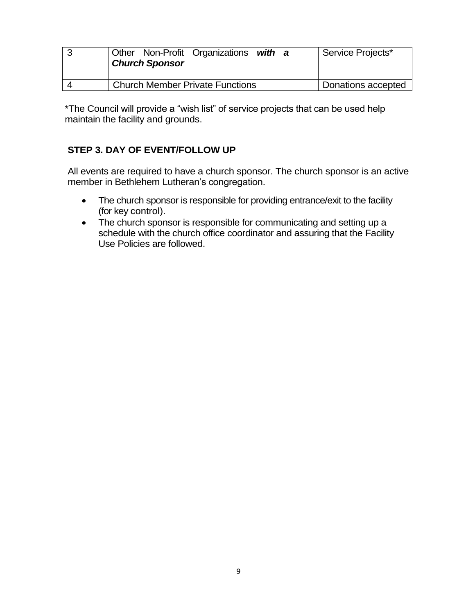| <b>Other Non-Profit Organizations</b><br>with a<br><b>Church Sponsor</b> | Service Projects*  |
|--------------------------------------------------------------------------|--------------------|
| <b>Church Member Private Functions</b>                                   | Donations accepted |

\*The Council will provide a "wish list" of service projects that can be used help maintain the facility and grounds.

# **STEP 3. DAY OF EVENT/FOLLOW UP**

All events are required to have a church sponsor. The church sponsor is an active member in Bethlehem Lutheran's congregation.

- The church sponsor is responsible for providing entrance/exit to the facility (for key control).
- The church sponsor is responsible for communicating and setting up a schedule with the church office coordinator and assuring that the Facility Use Policies are followed.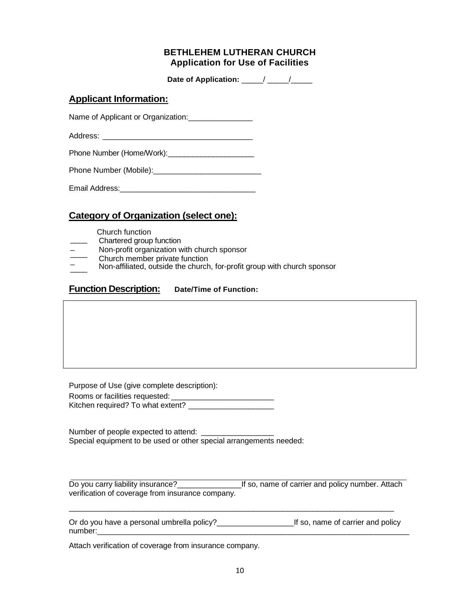## **BETHLEHEM LUTHERAN CHURCH Application for Use of Facilities**

Date of Application: \_\_\_\_\_/ \_\_\_\_\_/

# **Applicant Information:**

Name of Applicant or Organization: \_\_\_\_\_\_\_\_\_\_\_\_\_\_\_\_

Address: \_\_\_\_\_\_\_\_\_\_\_\_\_\_\_\_\_\_\_\_\_\_\_\_\_\_\_\_\_\_\_\_\_\_\_

Phone Number (Home/Work):

Phone Number (Mobile):\_\_\_\_\_\_\_\_\_\_\_\_\_\_\_\_\_\_\_\_\_\_\_\_\_

# **Category of Organization (select one):**

Church function

 $\frac{1}{2}$ 

- $\overline{\phantom{a}}$ Chartered group function
- \_ Non-profit organization with church sponsor
- \_\_\_\_ \_ Church member private function
- \_\_\_\_ Non-affiliated, outside the church, for-profit group with church sponsor

#### $\overline{a}$ \_ **Function Description: Date/Time of Function:**

Purpose of Use (give complete description):

Rooms or facilities requested:

Kitchen required? To what extent? \_\_\_\_\_\_\_\_\_\_\_\_\_\_\_\_\_\_\_\_

Number of people expected to attend: Special equipment to be used or other special arrangements needed:

Do you carry liability insurance?<br>
If so, name of carrier and policy number. Attach verification of coverage from insurance company.

\_\_\_\_\_\_\_\_\_\_\_\_\_\_\_\_\_\_\_\_\_\_\_\_\_\_\_\_\_\_\_\_\_\_\_\_\_\_\_\_\_\_\_\_\_\_\_\_\_\_\_\_\_\_\_\_\_\_\_\_\_\_\_\_\_\_\_\_\_\_\_\_\_\_\_\_

Or do you have a personal umbrella policy?\_\_\_\_\_\_\_\_\_\_\_\_\_\_\_\_\_\_If so, name of carrier and policy number:

Attach verification of coverage from insurance company.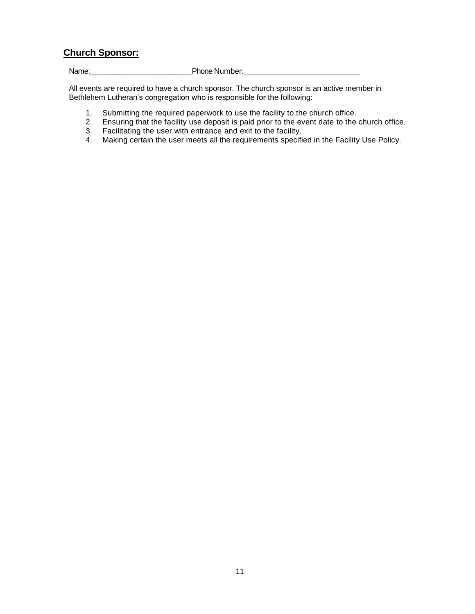# **Church Sponsor:**

Name:\_\_\_\_\_\_\_\_\_\_\_\_\_\_\_\_\_\_\_\_\_\_\_\_\_\_Phone Number:\_\_\_\_\_\_\_\_\_\_\_\_\_\_\_\_\_\_\_\_\_\_\_\_\_\_\_

All events are required to have a church sponsor. The church sponsor is an active member in Bethlehem Lutheran's congregation who is responsible for the following:

- 1. Submitting the required paperwork to use the facility to the church office.
- 2. Ensuring that the facility use deposit is paid prior to the event date to the church office.
- 3. Facilitating the user with entrance and exit to the facility.
- 4. Making certain the user meets all the requirements specified in the Facility Use Policy.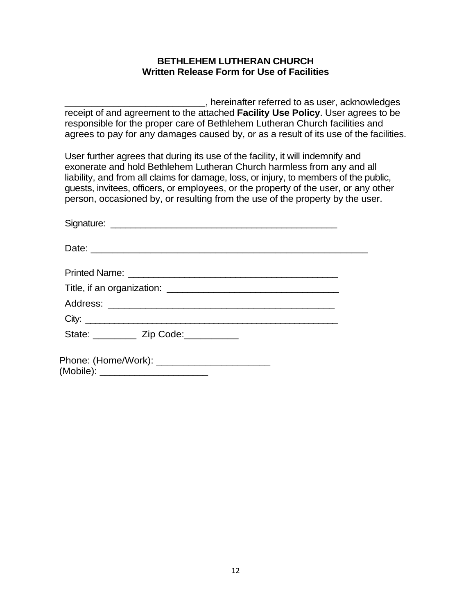# **BETHLEHEM LUTHERAN CHURCH Written Release Form for Use of Facilities**

\_\_\_\_\_\_\_\_\_\_\_\_\_\_\_\_\_\_\_\_\_\_\_\_\_\_, hereinafter referred to as user, acknowledges receipt of and agreement to the attached **Facility Use Policy**. User agrees to be responsible for the proper care of Bethlehem Lutheran Church facilities and agrees to pay for any damages caused by, or as a result of its use of the facilities.

User further agrees that during its use of the facility, it will indemnify and exonerate and hold Bethlehem Lutheran Church harmless from any and all liability, and from all claims for damage, loss, or injury, to members of the public, guests, invitees, officers, or employees, or the property of the user, or any other person, occasioned by, or resulting from the use of the property by the user.

| City:                                                                                 |  |
|---------------------------------------------------------------------------------------|--|
| State: ________ Zip Code: _________                                                   |  |
| Phone: (Home/Work): _________________________<br>(Mobile): __________________________ |  |